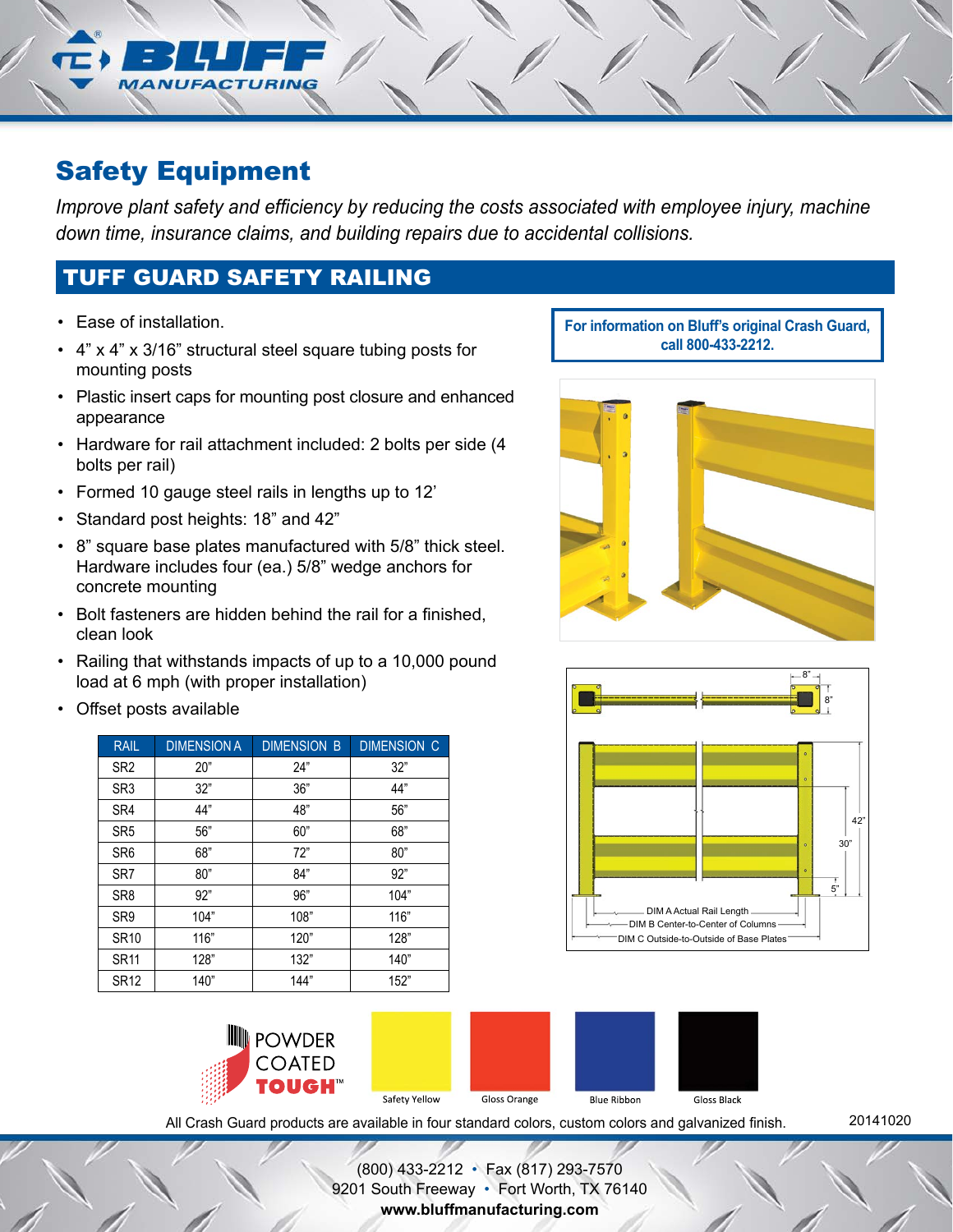# Safety Equipment

*Improve plant safety and efficiency by reducing the costs associated with employee injury, machine down time, insurance claims, and building repairs due to accidental collisions.*

# TUFF GUARD SAFETY RAILING

- Ease of installation.
- 4" x 4" x 3/16" structural steel square tubing posts for mounting posts
- Plastic insert caps for mounting post closure and enhanced appearance
- Hardware for rail attachment included: 2 bolts per side (4 bolts per rail)
- Formed 10 gauge steel rails in lengths up to 12'
- Standard post heights: 18" and 42"
- 8" square base plates manufactured with 5/8" thick steel. Hardware includes four (ea.) 5/8" wedge anchors for concrete mounting
- Bolt fasteners are hidden behind the rail for a finished, clean look
- Railing that withstands impacts of up to a 10,000 pound load at 6 mph (with proper installation)
- Offset posts available

| <b>RAIL</b>     | <b>DIMENSION A</b> | <b>DIMENSION B</b> | <b>DIMENSION C</b> |
|-----------------|--------------------|--------------------|--------------------|
| SR <sub>2</sub> | 20"                | 24"                | 32"                |
| SR <sub>3</sub> | 32"                | 36"                | 44"                |
| SR4             | 44"                | 48"                | 56"                |
| SR <sub>5</sub> | 56"                | 60"                | 68"                |
| SR <sub>6</sub> | 68"                | 72"                | 80"                |
| SR <sub>7</sub> | 80"                | 84"                | 92"                |
| SR <sub>8</sub> | 92"                | 96"                | 104"               |
| SR <sub>9</sub> | 104"               | 108"               | 116"               |
| <b>SR10</b>     | 116"               | 120"               | 128"               |
| <b>SR11</b>     | 128"               | 132"               | 140"               |
| SR12            | 140"               | 144"               | 152"               |

**For information on Bluff's original Crash Guard, call 800-433-2212.**







All Crash Guard products are available in four standard colors, custom colors and galvanized finish.

20141020

(800) 433-2212 • Fax (817) 293-7570 9201 South Freeway • Fort Worth, TX 76140 **www.bluffmanufacturing.com**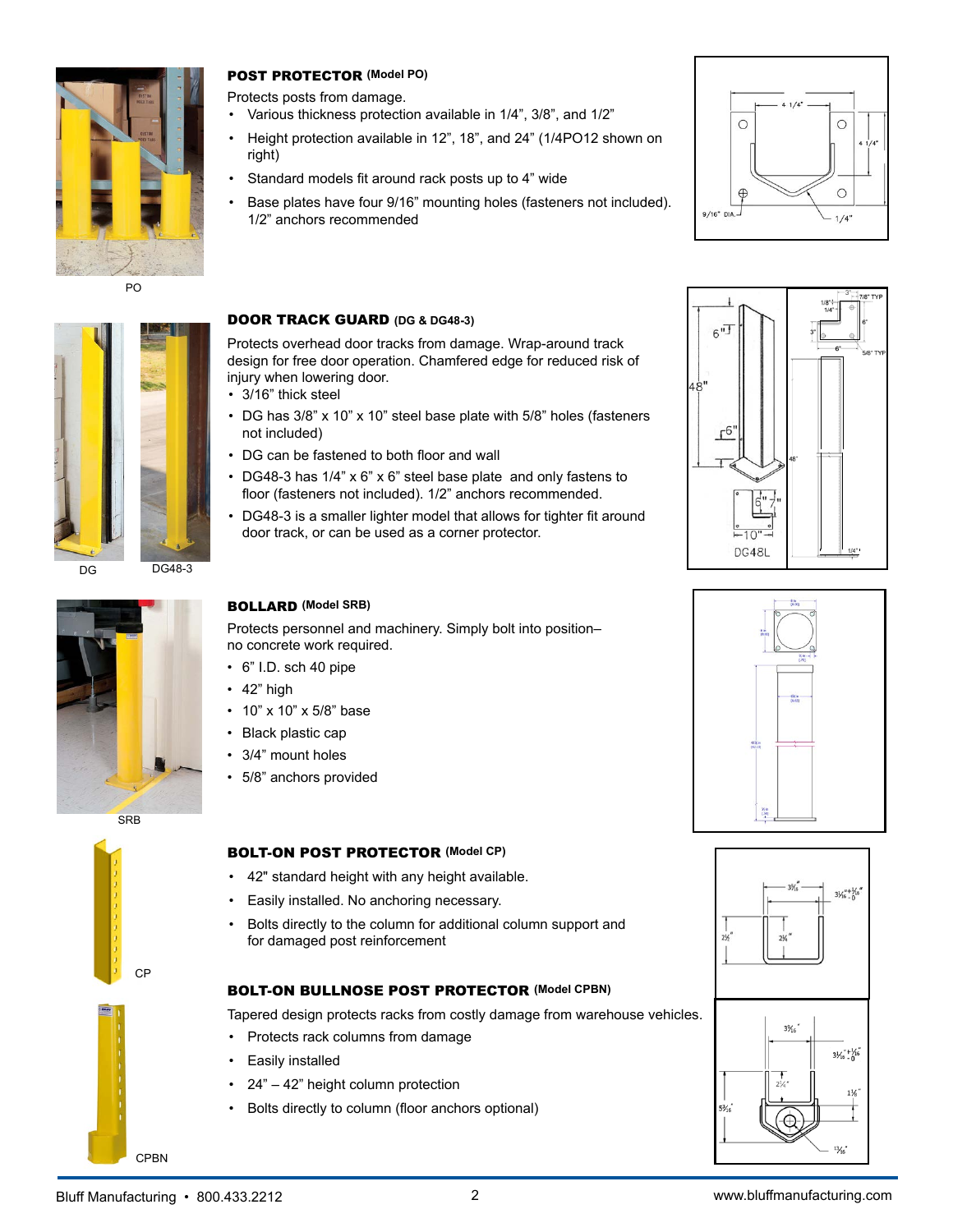

PO



 $DG$  DG48-3

# POST PROTECTOR **(Model PO)**

- Protects posts from damage.
	- Various thickness protection available in 1/4", 3/8", and 1/2"
- Height protection available in 12", 18", and 24" (1/4PO12 shown on right)
- Standard models fit around rack posts up to 4" wide
- Base plates have four 9/16" mounting holes (fasteners not included). 1/2" anchors recommended



#### DOOR TRACK GUARD **(DG & DG48-3)**

Protects overhead door tracks from damage. Wrap-around track design for free door operation. Chamfered edge for reduced risk of injury when lowering door.

• 3/16" thick steel

BOLLARD **(Model SRB)**

• 10" x 10" x 5/8" base • Black plastic cap 3/4" mount holes • 5/8" anchors provided

 $\cdot$  42" high

no concrete work required. • 6" I.D. sch 40 pipe

- DG has 3/8" x 10" x 10" steel base plate with 5/8" holes (fasteners not included)
- DG can be fastened to both floor and wall
- DG48-3 has 1/4" x 6" x 6" steel base plate and only fastens to floor (fasteners not included). 1/2" anchors recommended.
- DG48-3 is a smaller lighter model that allows for tighter fit around door track, or can be used as a corner protector.

Protects personnel and machinery. Simply bolt into position–





# CP



- Easily installed. No anchoring necessary.
- Bolts directly to the column for additional column support and for damaged post reinforcement

### BOLT-ON BULLNOSE POST PROTECTOR **(Model CPBN)**

Tapered design protects racks from costly damage from warehouse vehicles.

- Protects rack columns from damage
- Easily installed
- 24" 42" height column protection
- • Bolts directly to column (floor anchors optional)







CPBN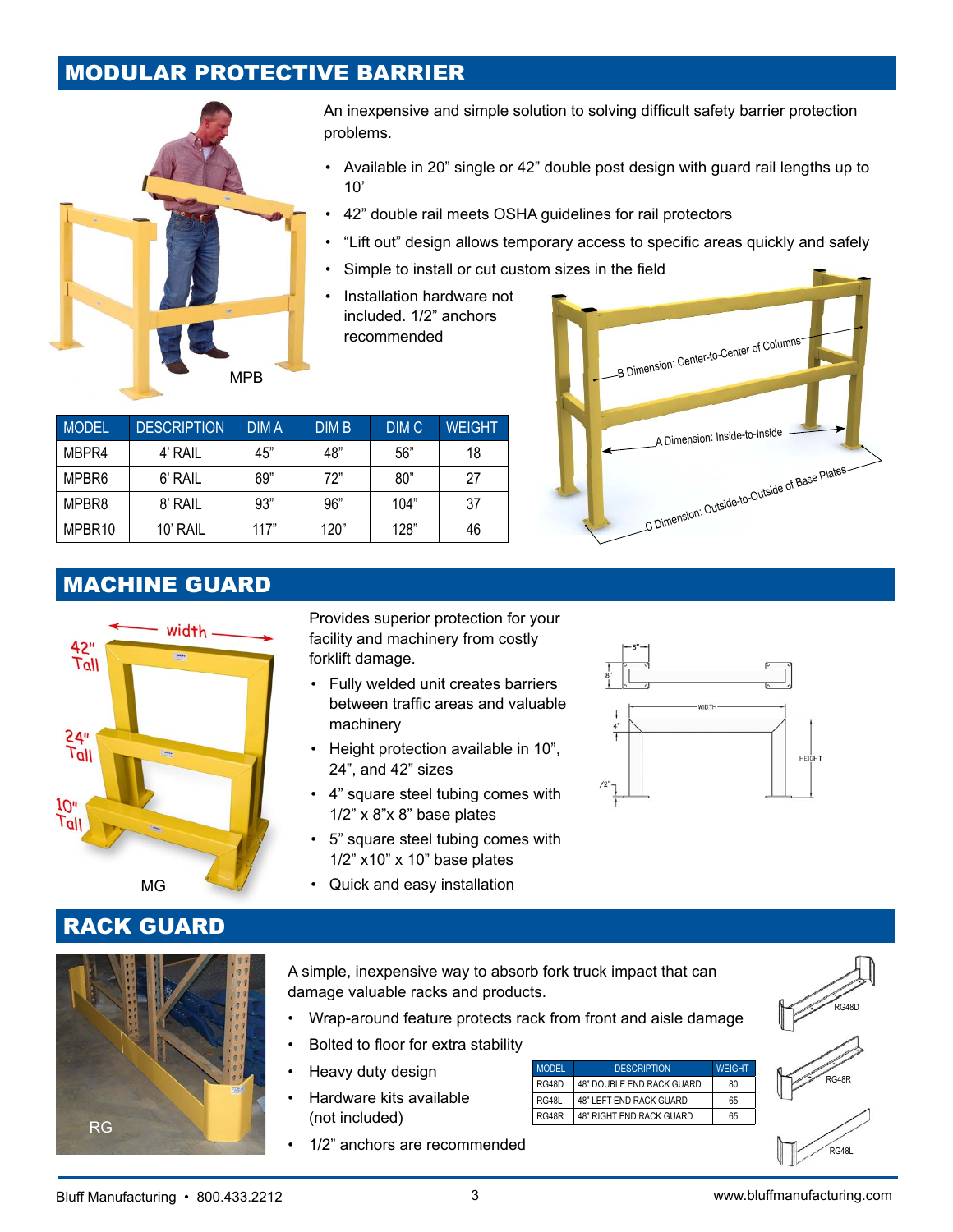# MODULAR PROTECTIVE BARRIER



An inexpensive and simple solution to solving difficult safety barrier protection problems.

- Available in 20" single or 42" double post design with guard rail lengths up to 10'
- 42" double rail meets OSHA guidelines for rail protectors
- "Lift out" design allows temporary access to specific areas quickly and safely
- Simple to install or cut custom sizes in the field
- Installation hardware not included. 1/2" anchors recommended

| <b>MODEL</b> | <b>DESCRIPTION</b> | <b>DIMA</b> | <b>DIM B</b> | DIM <sub>C</sub> | <b>WEIGHT</b> |
|--------------|--------------------|-------------|--------------|------------------|---------------|
| MBPR4        | 4' RAIL            | 45"         | 48"          | 56"              | 18            |
| MPBR6        | 6' RAIL            | 69"         | 72"          | 80"              | 27            |
| MPBR8        | 8' RAIL            | 93"         | 96"          | 104"             | 37            |
| MPBR10       | 10' RAIL           | 117"        | 120"         | 128"             | 46            |



# MACHINE GUARD



Provides superior protection for your facility and machinery from costly forklift damage.

- Fully welded unit creates barriers between traffic areas and valuable machinery
- • Height protection available in 10", 24", and 42" sizes
- 4" square steel tubing comes with 1/2" x 8"x 8" base plates
- 5" square steel tubing comes with  $1/2$ " x $10$ " x  $10$ " base plates
- MG Quick and easy installation



RACK GUARD



A simple, inexpensive way to absorb fork truck impact that can damage valuable racks and products.

- Wrap-around feature protects rack from front and aisle damage
- Bolted to floor for extra stability
- Heavy duty design
- Hardware kits available (not included)
- 1/2" anchors are recommended

| MODEL | <b>DESCRIPTION</b>             | <b>WEIGHT</b> |
|-------|--------------------------------|---------------|
| RG48D | 48" DOUBLE END RACK GUARD      | 80            |
| RG48L | <b>48" LEFT END RACK GUARD</b> | 65            |
| RG48R | 48" RIGHT END RACK GUARD       | 65            |